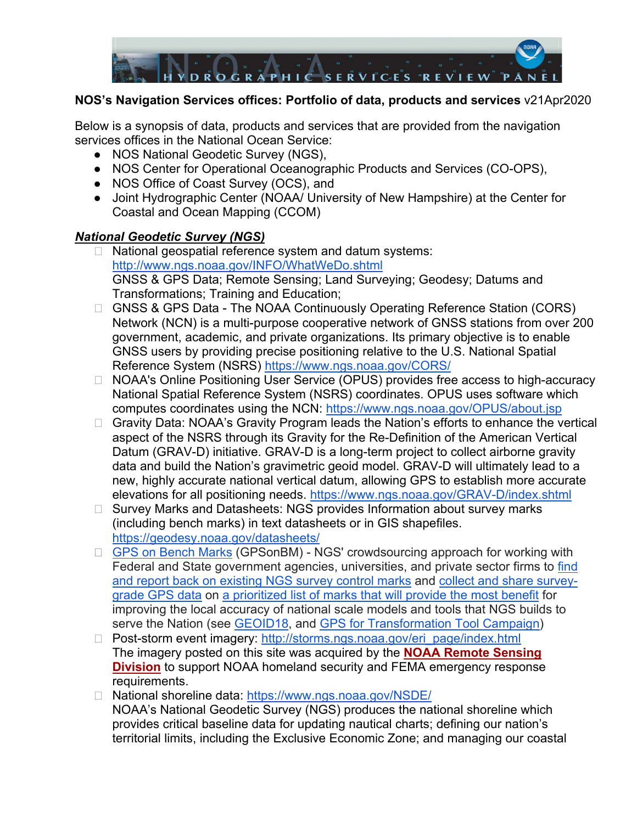

#### **NOS's Navigation Services offices: Portfolio of data, products and services** v21Apr2020

Below is a synopsis of data, products and services that are provided from the navigation services offices in the National Ocean Service:

- NOS National Geodetic Survey (NGS),
- NOS Center for Operational Oceanographic Products and Services (CO-OPS),
- NOS Office of Coast Survey (OCS), and
- Joint Hydrographic Center (NOAA/ University of New Hampshire) at the Center for Coastal and Ocean Mapping (CCOM)

#### *National Geodetic Survey (NGS)*

- □ National geospatial reference system and datum systems: <http://www.ngs.noaa.gov/INFO/WhatWeDo.shtml> GNSS & GPS Data; Remote Sensing; Land Surveying; Geodesy; Datums and Transformations; Training and Education;
- □ GNSS & GPS Data The NOAA Continuously Operating Reference Station (CORS) Network (NCN) is a multi-purpose cooperative network of GNSS stations from over 200 government, academic, and private organizations. Its primary objective is to enable GNSS users by providing precise positioning relative to the U.S. National Spatial Reference System (NSRS)<https://www.ngs.noaa.gov/CORS/>
- □ NOAA's Online Positioning User Service (OPUS) provides free access to high-accuracy National Spatial Reference System (NSRS) coordinates. OPUS uses software which computes coordinates using the NCN:<https://www.ngs.noaa.gov/OPUS/about.jsp>
- □ Gravity Data: NOAA's Gravity Program leads the Nation's efforts to enhance the vertical aspect of the NSRS through its Gravity for the Re-Definition of the American Vertical Datum (GRAV-D) initiative. GRAV-D is a long-term project to collect airborne gravity data and build the Nation's gravimetric geoid model. GRAV-D will ultimately lead to a new, highly accurate national vertical datum, allowing GPS to establish more accurate elevations for all positioning needs.<https://www.ngs.noaa.gov/GRAV-D/index.shtml>
- □ Survey Marks and Datasheets: NGS provides Information about survey marks (including bench marks) in text datasheets or in GIS shapefiles. <https://geodesy.noaa.gov/datasheets/>
- □ [GPS on Bench Marks](https://www.ngs.noaa.gov/GPSonBM/index.shtml) (GPSonBM) NGS' crowdsourcing approach for working with Federal and State government agencies, universities, and private sector firms to [find](https://www.ngs.noaa.gov/surveys/mark-recovery/index.shtml)  [and report back on existing NGS survey control marks](https://www.ngs.noaa.gov/surveys/mark-recovery/index.shtml) and [collect and share survey](https://www.ngs.noaa.gov/OPUS/view.jsp)[grade GPS data](https://www.ngs.noaa.gov/OPUS/view.jsp) on [a prioritized list of marks that will provide the most benefit](https://noaa.maps.arcgis.com/apps/webappviewer/index.html?id=6093dd81e9e94f7a9062e2fe5fb2f7f5) for improving the local accuracy of national scale models and tools that NGS builds to serve the Nation (see [GEOID18,](https://www.ngs.noaa.gov/GEOID/GEOID18/maps/geoid18_newgpsonbm.png) and [GPS for Transformation Tool Campaign\)](https://www.ngs.noaa.gov/GPSonBM/index.shtml)
- □ Post-storm event imagery: [http://storms.ngs.noaa.gov/eri\\_page/index.html](http://storms.ngs.noaa.gov/eri_page/index.html) The imagery posted on this site was acquired by the **[NOAA Remote Sensing](https://www.ngs.noaa.gov/RSD/rsd_home.shtml)  [Division](https://www.ngs.noaa.gov/RSD/rsd_home.shtml)** to support NOAA homeland security and FEMA emergency response requirements.
- □ National shoreline data: <https://www.ngs.noaa.gov/NSDE/> NOAA's National Geodetic Survey (NGS) produces the national shoreline which provides critical baseline data for updating nautical charts; defining our nation's territorial limits, including the Exclusive Economic Zone; and managing our coastal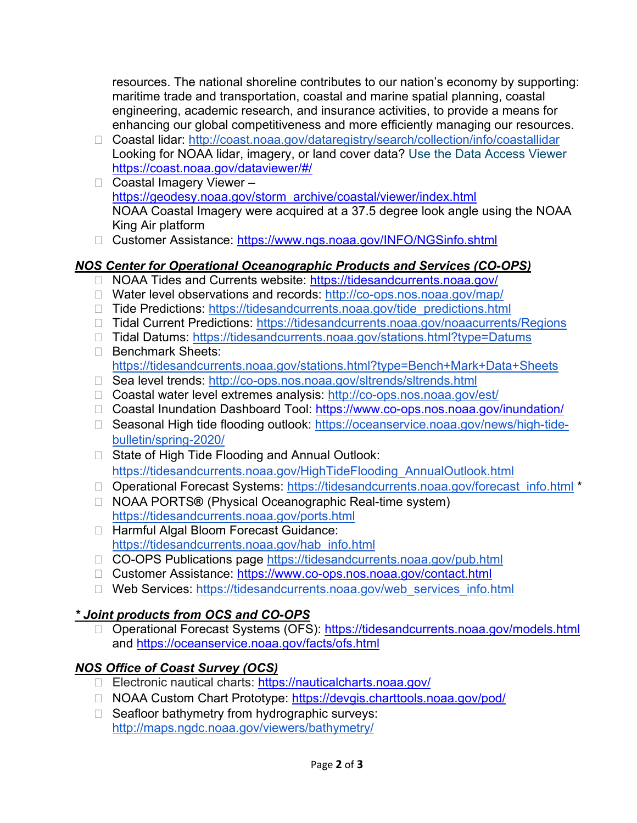resources. The national shoreline contributes to our nation's economy by supporting: maritime trade and transportation, coastal and marine spatial planning, coastal engineering, academic research, and insurance activities, to provide a means for enhancing our global competitiveness and more efficiently managing our resources.

- ⮚ Coastal lidar: <http://coast.noaa.gov/dataregistry/search/collection/info/coastallidar> Looking for NOAA lidar, imagery, or land cover data? [Use the Data Access Viewer](https://coast.noaa.gov/dataviewer)  <https://coast.noaa.gov/dataviewer/#/>
- □ Coastal Imagery Viewer [https://geodesy.noaa.gov/storm\\_archive/coastal/viewer/index.html](https://geodesy.noaa.gov/storm_archive/coastal/viewer/index.html) NOAA Coastal Imagery were acquired at a 37.5 degree look angle using the NOAA King Air platform
- □ Customer Assistance:<https://www.ngs.noaa.gov/INFO/NGSinfo.shtml>

#### *NOS Center for Operational Oceanographic Products and Services (CO-OPS)*

- □ NOAA Tides and Currents website:<https://tidesandcurrents.noaa.gov/>
- □ Water level observations and records: <http://co-ops.nos.noaa.gov/map/>
- □ Tide Predictions: [https://tidesandcurrents.noaa.gov/tide\\_predictions.html](https://tidesandcurrents.noaa.gov/tide_predictions.html)
- □ Tidal Current Predictions: <https://tidesandcurrents.noaa.gov/noaacurrents/Regions>
- ⮚ Tidal Datums:<https://tidesandcurrents.noaa.gov/stations.html?type=Datums>
- ⮚ Benchmark Sheets: <https://tidesandcurrents.noaa.gov/stations.html?type=Bench+Mark+Data+Sheets>
- □ Sea level trends: <http://co-ops.nos.noaa.gov/sltrends/sltrends.html>
- ⮚ Coastal water level extremes analysis: <http://co-ops.nos.noaa.gov/est/>
- ⮚ Coastal Inundation Dashboard Tool:<https://www.co-ops.nos.noaa.gov/inundation/>
- □ Seasonal High tide flooding outlook: [https://oceanservice.noaa.gov/news/high-tide](https://oceanservice.noaa.gov/news/high-tide-bulletin/spring-2020/)[bulletin/spring-2020/](https://oceanservice.noaa.gov/news/high-tide-bulletin/spring-2020/)
- □ State of High Tide Flooding and Annual Outlook: [https://tidesandcurrents.noaa.gov/HighTideFlooding\\_AnnualOutlook.html](https://tidesandcurrents.noaa.gov/HighTideFlooding_AnnualOutlook.html)
- □ Operational Forecast Systems: [https://tidesandcurrents.noaa.gov/forecast\\_info.html](https://tidesandcurrents.noaa.gov/forecast_info.html) \*
- ⮚ NOAA PORTS**®** (Physical Oceanographic Real-time system) <https://tidesandcurrents.noaa.gov/ports.html>
- □ Harmful Algal Bloom Forecast Guidance: [https://tidesandcurrents.noaa.gov/hab\\_info.html](https://tidesandcurrents.noaa.gov/hab_info.html)
- □ CO-OPS Publications page <https://tidesandcurrents.noaa.gov/pub.html>
- ⮚ Customer Assistance:<https://www.co-ops.nos.noaa.gov/contact.html>
- □ Web Services: https://tidesandcurrents.noaa.gov/web services info.html

### *\* Joint products from OCS and CO-OPS*

□ Operational Forecast Systems (OFS):<https://tidesandcurrents.noaa.gov/models.html> and <https://oceanservice.noaa.gov/facts/ofs.html>

### *NOS Office of Coast Survey (OCS)*

- □ Electronic nautical charts: https://nauticalcharts.noaa.gov/
- □ NOAA Custom Chart Prototype:<https://devgis.charttools.noaa.gov/pod/>
- □ Seafloor bathymetry from hydrographic surveys: <http://maps.ngdc.noaa.gov/viewers/bathymetry/>